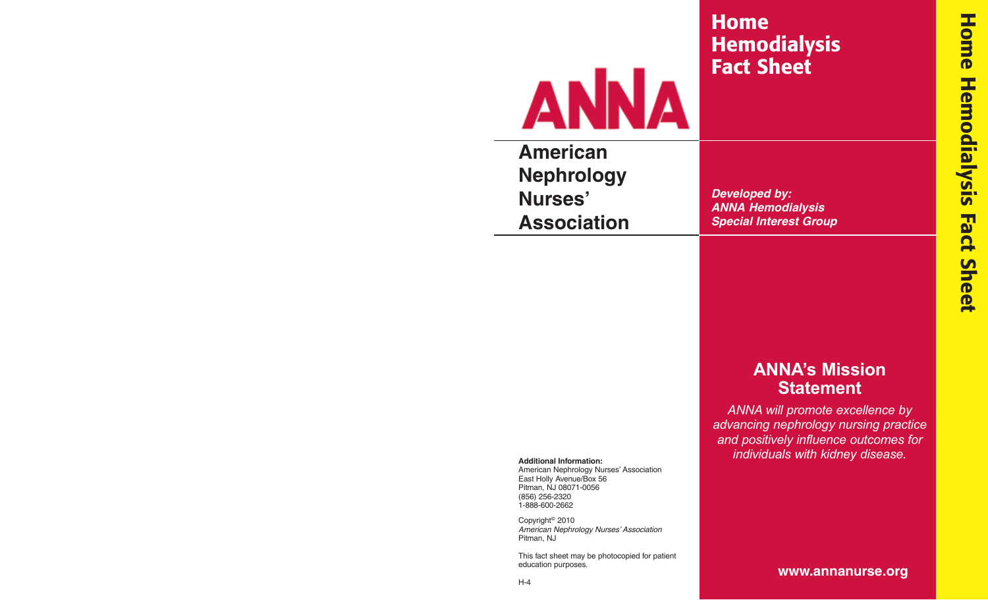# **Home Hemodialysis Fact Sheet**



**American Nephrology Nurses' Association**

**Developed by: ANNA Hemodialysis Special Interest Group**

# **ANNA's Mission Statement**

*ANNA will promote excellence by advancing nephrology nursing practice and positively influence outcomes for individuals with kidney disease.*

**Additional Information:**

American Nephrology Nurses' Association East Holly Avenue/Box 56 Pitman, NJ 08071-0056 (856) 256-2320 1-888-600-2662

Copyright© 2010 American Nephrology Nurses' Association Pitman, NJ

This fact sheet may be photocopied for patient education purposes.

**www.annanurse.org**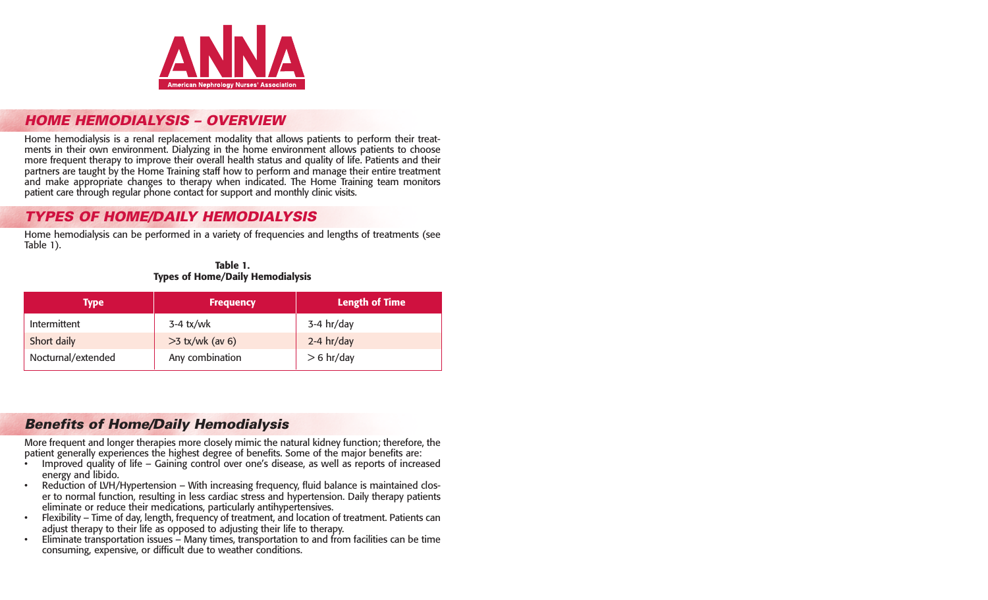

#### **HOME HEMODIALYSIS – OVERVIEW**

Home hemodialysis is a renal replacement modality that allows patients to perform their treatments in their own environment. Dialyzing in the home environment allows patients to choose more frequent therapy to improve their overall health status and quality of life. Patients and their partners are taught by the Home Training staff how to perform and manage their entire treatment and make appropriate changes to therapy when indicated. The Home Training team monitors patient care through regular phone contact for support and monthly clinic visits.

## **TYPES OF HOME/DAILY HEMODIALYSIS**

Home hemodialysis can be performed in a variety of frequencies and lengths of treatments (see Table 1).

| <b>Type</b>        | <b>Frequency</b>  | <b>Length of Time</b> |
|--------------------|-------------------|-----------------------|
| Intermittent       | $3-4$ tx/wk       | $3-4$ hr/day          |
| Short daily        | $>3$ tx/wk (av 6) | $2-4$ hr/day          |
| Nocturnal/extended | Any combination   | $> 6$ hr/day          |

**Table 1. Types of Home/Daily Hemodialysis** 

# **Benefits of Home/Daily Hemodialysis**

More frequent and longer therapies more closely mimic the natural kidney function; therefore, the patient generally experiences the highest degree of benefits. Some of the major benefits are:

- Improved quality of life Gaining control over one's disease, as well as reports of increased energy and libido.
- Reduction of LVH/Hypertension With increasing frequency, fluid balance is maintained closer to normal function, resulting in less cardiac stress and hypertension. Daily therapy patients eliminate or reduce their medications, particularly antihypertensives.
- Flexibility Time of day, length, frequency of treatment, and location of treatment. Patients can adjust therapy to their life as opposed to adjusting their life to therapy.
- Eliminate transportation issues Many times, transportation to and from facilities can be time consuming, expensive, or difficult due to weather conditions.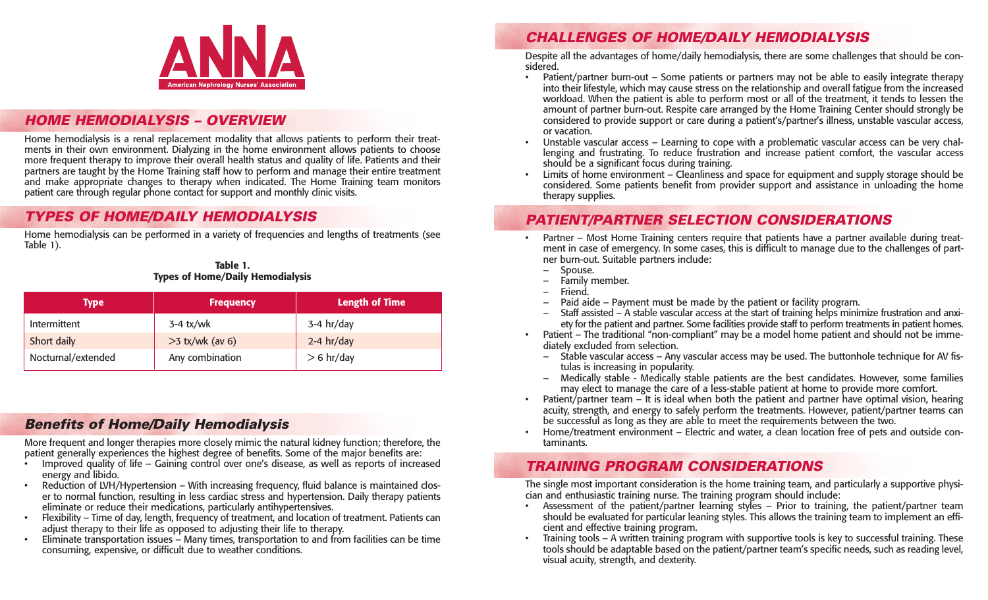# **CHALLENGES OF HOME/DAILY HEMODIALYSIS**

Despite all the advantages of home/daily hemodialysis, there are some challenges that should be considered.

- Patient/partner burn-out Some patients or partners may not be able to easily integrate therapy into their lifestyle, which may cause stress on the relationship and overall fatigue from the increased workload. When the patient is able to perform most or all of the treatment, it tends to lessen the amount of partner burn-out. Respite care arranged by the Home Training Center should strongly be considered to provide support or care during a patient's/partner's illness, unstable vascular access, or vacation.
- Unstable vascular access Learning to cope with a problematic vascular access can be very challenging and frustrating. To reduce frustration and increase patient comfort, the vascular access should be a significant focus during training.
- Limits of home environment Cleanliness and space for equipment and supply storage should be considered. Some patients benefit from provider support and assistance in unloading the home therapy supplies.

#### **PATIENT/PARTNER SELECTION CONSIDERATIONS**

- Partner Most Home Training centers require that patients have a partner available during treatment in case of emergency. In some cases, this is difficult to manage due to the challenges of partner burn-out. Suitable partners include:
	- Spouse.
	- Family member.
	- Friend.
	- Paid aide Payment must be made by the patient or facility program.
	- Staff assisted A stable vascular access at the start of training helps minimize frustration and anxiety for the patient and partner. Some facilities provide staff to perform treatments in patient homes.
- Patient The traditional "non-compliant" may be a model home patient and should not be immediately excluded from selection.
	- Stable vascular access Any vascular access may be used. The buttonhole technique for AV fistulas is increasing in popularity.
	- Medically stable Medically stable patients are the best candidates. However, some families may elect to manage the care of a less-stable patient at home to provide more comfort.
- Patient/partner team It is ideal when both the patient and partner have optimal vision, hearing acuity, strength, and energy to safely perform the treatments. However, patient/partner teams can be successful as long as they are able to meet the requirements between the two.
- Home/treatment environment Electric and water, a clean location free of pets and outside contaminants.

## **TRAINING PROGRAM CONSIDERATIONS**

The single most important consideration is the home training team, and particularly a supportive physician and enthusiastic training nurse. The training program should include:

- Assessment of the patient/partner learning styles Prior to training, the patient/partner team should be evaluated for particular leaning styles. This allows the training team to implement an efficient and effective training program.
- Training tools A written training program with supportive tools is key to successful training. These tools should be adaptable based on the patient/partner team's specific needs, such as reading level, visual acuity, strength, and dexterity.